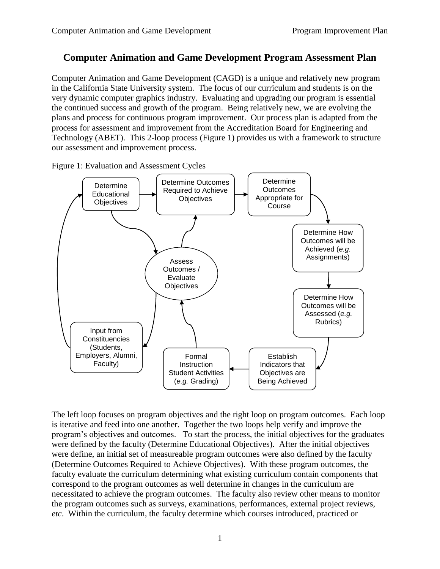## **Computer Animation and Game Development Program Assessment Plan**

Computer Animation and Game Development (CAGD) is a unique and relatively new program in the California State University system. The focus of our curriculum and students is on the very dynamic computer graphics industry. Evaluating and upgrading our program is essential the continued success and growth of the program. Being relatively new, we are evolving the plans and process for continuous program improvement. Our process plan is adapted from the process for assessment and improvement from the Accreditation Board for Engineering and Technology (ABET). This 2-loop process (Figure 1) provides us with a framework to structure our assessment and improvement process.

Determine Outcomes Required to Achieve **Objectives** Determine How Outcomes will be Achieved (*e.g.* Assignments) Determine How Outcomes will be Assessed (*e.g.* Rubrics) Establish Indicators that Objectives are Being Achieved Formal **Instruction** Student Activities (*e.g.* Grading) **Determine Educational Objectives** Input from **Constituencies** (Students, Employers, Alumni, Faculty) Determine **Outcomes** Appropriate for Course Assess Outcomes / Evaluate **Objectives** 

Figure 1: Evaluation and Assessment Cycles

The left loop focuses on program objectives and the right loop on program outcomes. Each loop is iterative and feed into one another. Together the two loops help verify and improve the program's objectives and outcomes. To start the process, the initial objectives for the graduates were defined by the faculty (Determine Educational Objectives). After the initial objectives were define, an initial set of measureable program outcomes were also defined by the faculty (Determine Outcomes Required to Achieve Objectives). With these program outcomes, the faculty evaluate the curriculum determining what existing curriculum contain components that correspond to the program outcomes as well determine in changes in the curriculum are necessitated to achieve the program outcomes. The faculty also review other means to monitor the program outcomes such as surveys, examinations, performances, external project reviews, *etc*. Within the curriculum, the faculty determine which courses introduced, practiced or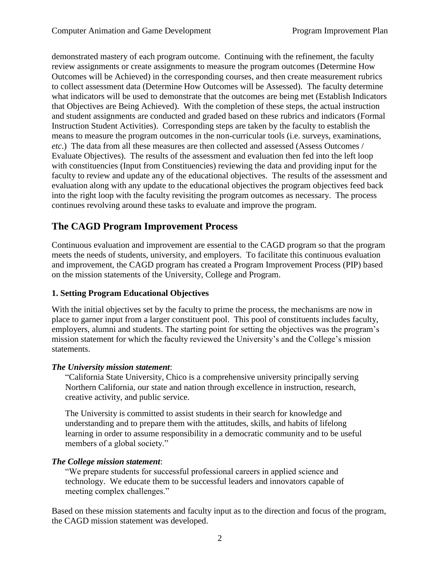demonstrated mastery of each program outcome. Continuing with the refinement, the faculty review assignments or create assignments to measure the program outcomes (Determine How Outcomes will be Achieved) in the corresponding courses, and then create measurement rubrics to collect assessment data (Determine How Outcomes will be Assessed). The faculty determine what indicators will be used to demonstrate that the outcomes are being met (Establish Indicators that Objectives are Being Achieved). With the completion of these steps, the actual instruction and student assignments are conducted and graded based on these rubrics and indicators (Formal Instruction Student Activities). Corresponding steps are taken by the faculty to establish the means to measure the program outcomes in the non-curricular tools (i.e. surveys, examinations, *etc*.) The data from all these measures are then collected and assessed (Assess Outcomes / Evaluate Objectives). The results of the assessment and evaluation then fed into the left loop with constituencies (Input from Constituencies) reviewing the data and providing input for the faculty to review and update any of the educational objectives. The results of the assessment and evaluation along with any update to the educational objectives the program objectives feed back into the right loop with the faculty revisiting the program outcomes as necessary. The process continues revolving around these tasks to evaluate and improve the program.

# **The CAGD Program Improvement Process**

Continuous evaluation and improvement are essential to the CAGD program so that the program meets the needs of students, university, and employers. To facilitate this continuous evaluation and improvement, the CAGD program has created a Program Improvement Process (PIP) based on the mission statements of the University, College and Program.

### **1. Setting Program Educational Objectives**

With the initial objectives set by the faculty to prime the process, the mechanisms are now in place to garner input from a larger constituent pool. This pool of constituents includes faculty, employers, alumni and students. The starting point for setting the objectives was the program's mission statement for which the faculty reviewed the University's and the College's mission statements.

### *The University mission statement*:

"California State University, Chico is a comprehensive university principally serving Northern California, our state and nation through excellence in instruction, research, creative activity, and public service.

The University is committed to assist students in their search for knowledge and understanding and to prepare them with the attitudes, skills, and habits of lifelong learning in order to assume responsibility in a democratic community and to be useful members of a global society."

### *The College mission statement*:

"We prepare students for successful professional careers in applied science and technology. We educate them to be successful leaders and innovators capable of meeting complex challenges."

Based on these mission statements and faculty input as to the direction and focus of the program, the CAGD mission statement was developed.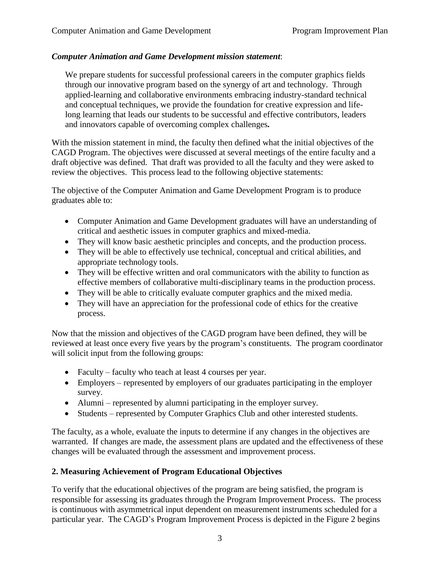#### *Computer Animation and Game Development mission statement*:

We prepare students for successful professional careers in the computer graphics fields through our innovative program based on the synergy of art and technology. Through applied-learning and collaborative environments embracing industry-standard technical and conceptual techniques, we provide the foundation for creative expression and lifelong learning that leads our students to be successful and effective contributors, leaders and innovators capable of overcoming complex challenges*.*

With the mission statement in mind, the faculty then defined what the initial objectives of the CAGD Program. The objectives were discussed at several meetings of the entire faculty and a draft objective was defined. That draft was provided to all the faculty and they were asked to review the objectives. This process lead to the following objective statements:

The objective of the Computer Animation and Game Development Program is to produce graduates able to:

- Computer Animation and Game Development graduates will have an understanding of critical and aesthetic issues in computer graphics and mixed-media.
- They will know basic aesthetic principles and concepts, and the production process.
- They will be able to effectively use technical, conceptual and critical abilities, and appropriate technology tools.
- They will be effective written and oral communicators with the ability to function as effective members of collaborative multi-disciplinary teams in the production process.
- They will be able to critically evaluate computer graphics and the mixed media.
- They will have an appreciation for the professional code of ethics for the creative process.

Now that the mission and objectives of the CAGD program have been defined, they will be reviewed at least once every five years by the program's constituents. The program coordinator will solicit input from the following groups:

- Faculty faculty who teach at least 4 courses per year.
- Employers represented by employers of our graduates participating in the employer survey.
- Alumni represented by alumni participating in the employer survey.
- Students represented by Computer Graphics Club and other interested students.

The faculty, as a whole, evaluate the inputs to determine if any changes in the objectives are warranted. If changes are made, the assessment plans are updated and the effectiveness of these changes will be evaluated through the assessment and improvement process.

### **2. Measuring Achievement of Program Educational Objectives**

To verify that the educational objectives of the program are being satisfied, the program is responsible for assessing its graduates through the Program Improvement Process. The process is continuous with asymmetrical input dependent on measurement instruments scheduled for a particular year. The CAGD's Program Improvement Process is depicted in the Figure 2 begins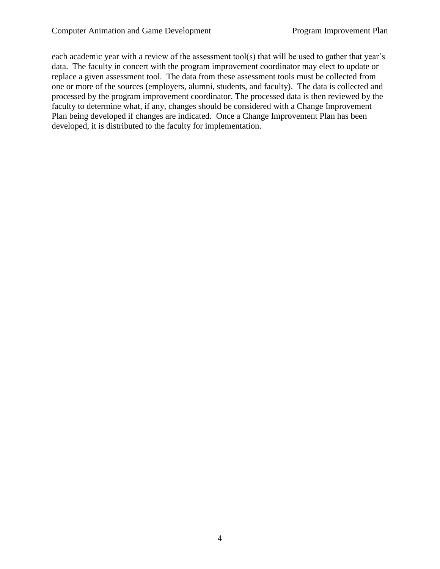each academic year with a review of the assessment tool(s) that will be used to gather that year's data. The faculty in concert with the program improvement coordinator may elect to update or replace a given assessment tool. The data from these assessment tools must be collected from one or more of the sources (employers, alumni, students, and faculty). The data is collected and processed by the program improvement coordinator. The processed data is then reviewed by the faculty to determine what, if any, changes should be considered with a Change Improvement Plan being developed if changes are indicated. Once a Change Improvement Plan has been developed, it is distributed to the faculty for implementation.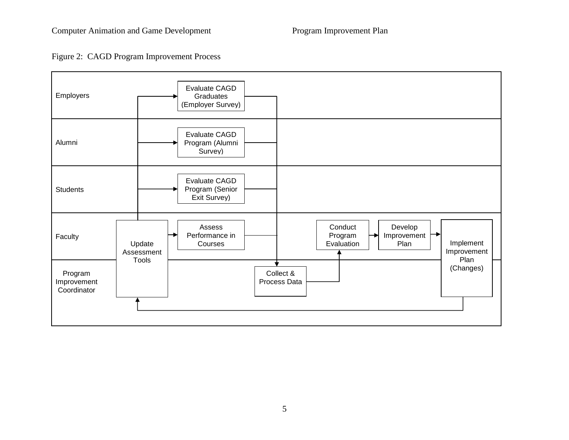

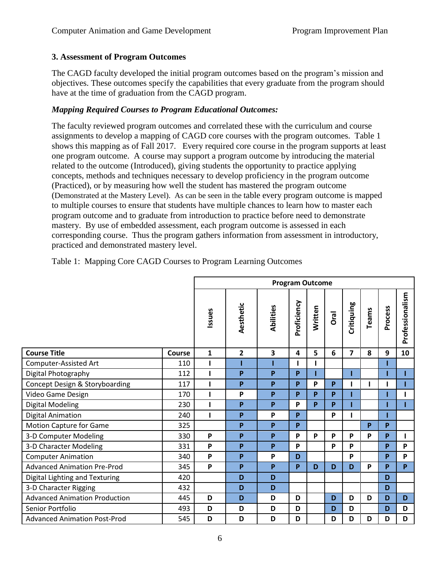### **3. Assessment of Program Outcomes**

The CAGD faculty developed the initial program outcomes based on the program's mission and objectives. These outcomes specify the capabilities that every graduate from the program should have at the time of graduation from the CAGD program.

### *Mapping Required Courses to Program Educational Outcomes:*

The faculty reviewed program outcomes and correlated these with the curriculum and course assignments to develop a mapping of CAGD core courses with the program outcomes. Table 1 shows this mapping as of Fall 2017. Every required core course in the program supports at least one program outcome. A course may support a program outcome by introducing the material related to the outcome (Introduced), giving students the opportunity to practice applying concepts, methods and techniques necessary to develop proficiency in the program outcome (Practiced), or by measuring how well the student has mastered the program outcome (Demonstrated at the Mastery Level). As can be seen in the table every program outcome is mapped to multiple courses to ensure that students have multiple chances to learn how to master each program outcome and to graduate from introduction to practice before need to demonstrate mastery. By use of embedded assessment, each program outcome is assessed in each corresponding course. Thus the program gathers information from assessment in introductory, practiced and demonstrated mastery level.

|                                      |        | <b>Program Outcome</b> |                |           |             |          |      |            |          |         |                 |
|--------------------------------------|--------|------------------------|----------------|-----------|-------------|----------|------|------------|----------|---------|-----------------|
|                                      |        | Issues                 | Aesthetic      | Abilities | Proficiency | Written  | Oral | Critiquing | Teams    | Process | Professionalism |
| <b>Course Title</b>                  | Course | 1                      | $\overline{2}$ | 3         | 4           | 5        | 6    | 7          | 8        | 9       | 10              |
| Computer-Assisted Art                | 110    | ı                      |                |           |             |          |      |            |          |         |                 |
| Digital Photography                  | 112    |                        | P              | P         | P           |          |      |            |          |         |                 |
| Concept Design & Storyboarding       | 117    | ı                      | P              | P         | P           | P        | P    | ı          |          |         |                 |
| Video Game Design                    | 170    |                        | P              | P         | P           | P        | P    |            |          |         |                 |
| <b>Digital Modeling</b>              | 230    | I.                     | P              | P         | P           | <b>p</b> | P    |            |          |         |                 |
| <b>Digital Animation</b>             | 240    | I.                     | P              | P         | P           |          | P    |            |          |         |                 |
| <b>Motion Capture for Game</b>       | 325    |                        | P              | P         | P           |          |      |            | <b>P</b> | P       |                 |
| 3-D Computer Modeling                | 330    | P                      | P              | P         | P           | P        | P    | P          | P        | P       |                 |
| 3-D Character Modeling               | 331    | P                      | P              | P         | P           |          | P    | P          |          | P       | P               |
| <b>Computer Animation</b>            | 340    | P                      | P              | P         | D           |          |      | P          |          | P       | P               |
| <b>Advanced Animation Pre-Prod</b>   | 345    | P                      | P              | P         | P           | D        | D    | D          | P        | P       | <b>P</b>        |
| Digital Lighting and Texturing       | 420    |                        | D              | D         |             |          |      |            |          | D       |                 |
| 3-D Character Rigging                | 432    |                        | D              | D         |             |          |      |            |          | D       |                 |
| <b>Advanced Animation Production</b> | 445    | D                      | D              | D         | D           |          | D    | D          | D        | D       | D               |
| Senior Portfolio                     | 493    | D                      | D              | D         | D           |          | D    | D          |          | D       | D               |
| <b>Advanced Animation Post-Prod</b>  | 545    | D                      | D              | D         | D           |          | D    | D          | D        | D       | D               |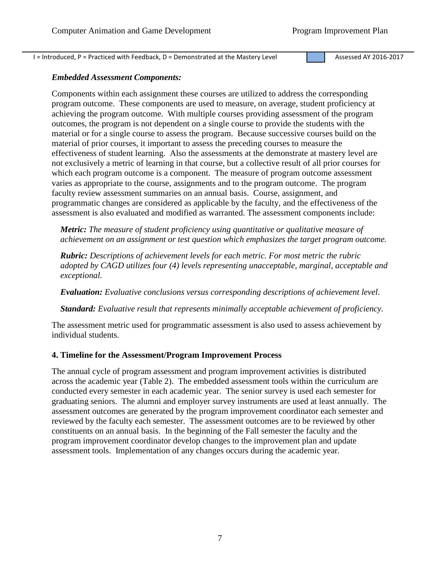$I = Introduced, P = Practical with Feedback, D = Demonstrated at the Master V Level$ <br>Assessed AY 2016-2017

#### *Embedded Assessment Components:*

Components within each assignment these courses are utilized to address the corresponding program outcome. These components are used to measure, on average, student proficiency at achieving the program outcome. With multiple courses providing assessment of the program outcomes, the program is not dependent on a single course to provide the students with the material or for a single course to assess the program. Because successive courses build on the material of prior courses, it important to assess the preceding courses to measure the effectiveness of student learning. Also the assessments at the demonstrate at mastery level are not exclusively a metric of learning in that course, but a collective result of all prior courses for which each program outcome is a component. The measure of program outcome assessment varies as appropriate to the course, assignments and to the program outcome. The program faculty review assessment summaries on an annual basis. Course, assignment, and programmatic changes are considered as applicable by the faculty, and the effectiveness of the assessment is also evaluated and modified as warranted. The assessment components include:

*Metric: The measure of student proficiency using quantitative or qualitative measure of achievement on an assignment or test question which emphasizes the target program outcome.*

*Rubric: Descriptions of achievement levels for each metric. For most metric the rubric adopted by CAGD utilizes four (4) levels representing unacceptable, marginal, acceptable and exceptional.* 

*Evaluation: Evaluative conclusions versus corresponding descriptions of achievement level.*

*Standard: Evaluative result that represents minimally acceptable achievement of proficiency.*

The assessment metric used for programmatic assessment is also used to assess achievement by individual students.

#### **4. Timeline for the Assessment/Program Improvement Process**

The annual cycle of program assessment and program improvement activities is distributed across the academic year (Table 2). The embedded assessment tools within the curriculum are conducted every semester in each academic year. The senior survey is used each semester for graduating seniors. The alumni and employer survey instruments are used at least annually. The assessment outcomes are generated by the program improvement coordinator each semester and reviewed by the faculty each semester. The assessment outcomes are to be reviewed by other constituents on an annual basis. In the beginning of the Fall semester the faculty and the program improvement coordinator develop changes to the improvement plan and update assessment tools. Implementation of any changes occurs during the academic year.